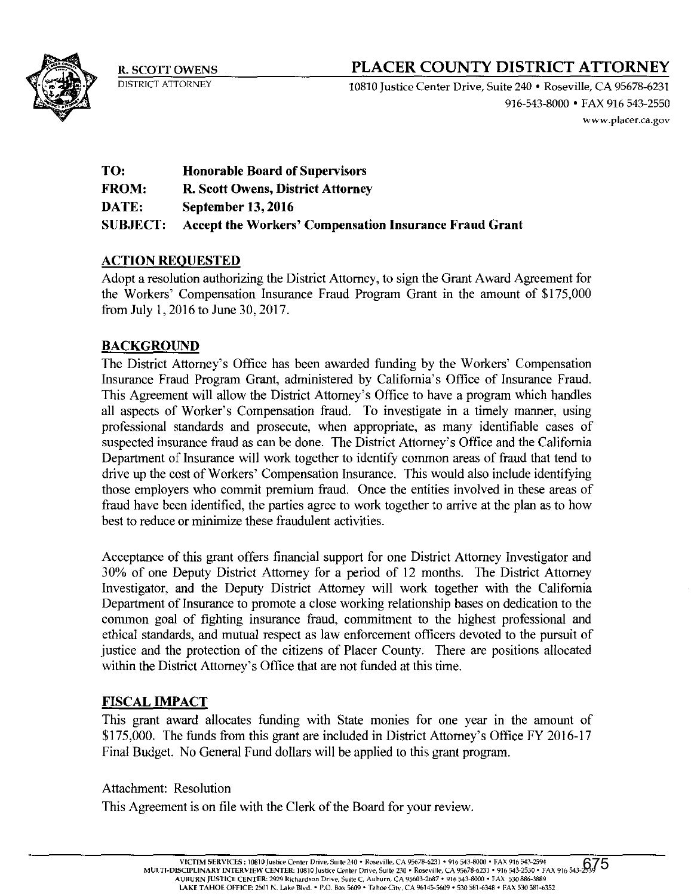

# R. SCOTT OWENS **PLACER COUNTY DISTRICT ATTORNEY**

DISTRICT ATTORNEY 10810 Justice Center Drive, Suite 240 • Roseville, CA 95678-6231 916-543-8000 • FAX 916 543-2550 www.placer.ca.gov

| TO:             | <b>Honorable Board of Supervisors</b>                  |
|-----------------|--------------------------------------------------------|
| <b>FROM:</b>    | <b>R. Scott Owens, District Attorney</b>               |
| <b>DATE:</b>    | <b>September 13, 2016</b>                              |
| <b>SUBJECT:</b> | Accept the Workers' Compensation Insurance Fraud Grant |

## ACTION REQUESTED

Adopt a resolution authorizing the District Attorney, to sign the Grant Award Agreement for the Workers' Compensation Insurance Fraud Program Grant in the amount of \$175,000 from July 1, 2016 to June 30, 2017.

## **BACKGROUND**

The District Attorney's Office has been awarded funding by the Workers' Compensation Insurance Fraud Program Grant, administered by California's Office of Insurance Fraud. This Agreement will allow the District Attorney's Office to have a program which handles all aspects of Worker's Compensation fraud. To investigate in a timely manner, using professional standards and prosecute, when appropriate, as many identifiable cases of suspected insurance fraud as can be done. The District Attorney's Office and the California Department of Insurance will work together to identify common areas of fraud that tend to drive up the cost of Workers' Compensation Insurance. This would also include identifying those employers who commit premium fraud. Once the entities involved in these areas of fraud have been identified, the parties agree to work together to arrive at the plan as to how best to reduce or minimize these fraudulent activities.

Acceptance of this grant offers financial support for one District Attorney Investigator and 30% of one Deputy District Attorney for a period of 12 months. The District Attorney Investigator, and the Deputy District Attorney will work together with the California Department of Insurance to promote a close working relationship bases on dedication to the common goal of fighting insurance fraud. commitment to the highest professional and ethical standards, and mutual respect as law enforcement officers devoted to the pursuit of justice and the protection of the citizens of Placer County. There are positions allocated within the District Attorney's Office that are not funded at this time.

#### FISCAL IMPACT

This grant award allocates funding with State monies for one year in the amount of \$175,000. The funds from this grant are included in District Attorney's Office FY 2016-17 Final Budget. No General Fund dollars will be applied to this grant program.

#### Attachment: Resolution

This Agreement is on file with the Clerk of the Board for your review.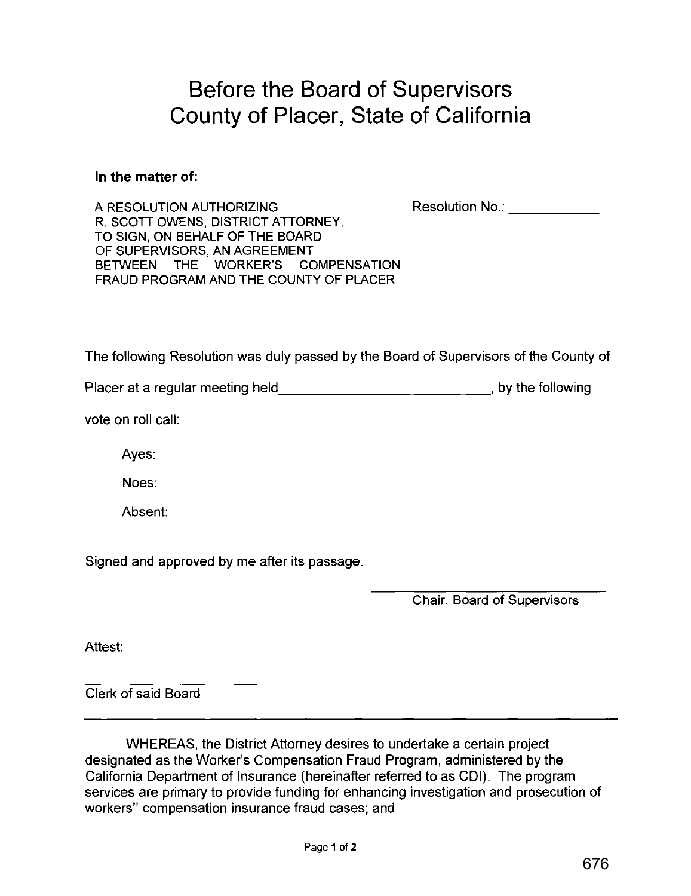# **Before the Board of Supervisors County of Placer, State of California**

#### **In the matter** of:

A RESOLUTION AUTHORIZING Resolution No.: A RESOLUTION AUTHORIZING R. SCOTT OWENS, DISTRICT ATTORNEY, TO SIGN, ON BEHALF OF THE BOARD OF SUPERVISORS, AN AGREEMENT BETWEEN THE WORKER'S COMPENSATION FRAUD PROGRAM AND THE COUNTY OF PLACER

The following Resolution was duly passed by the Board of Supervisors of the County of

Placer at a regular meeting held\_\_\_\_\_\_\_\_\_\_\_\_\_\_\_\_\_\_\_\_\_\_\_\_\_\_\_\_\_\_\_\_\_\_, by the following

vote on roll call:

Ayes:

Noes:

Absent:

Signed and approved by me after its passage.

Chair, Board of Supervisors

Attest:

Clerk of said Board

WHEREAS, the District Attorney desires to undertake a certain project designated as the Worker's Compensation Fraud Program, administered by the California Department of Insurance (hereinafter referred to as CDI). The program services are primary to provide funding for enhancing investigation and prosecution of workers" compensation insurance fraud cases; and